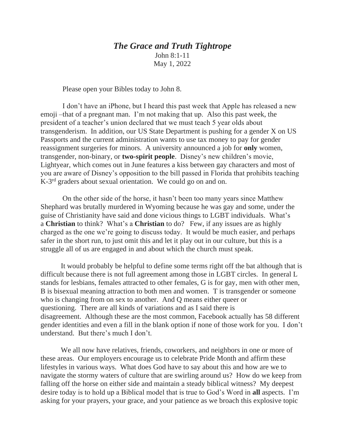## *The Grace and Truth Tightrope* John 8:1-11

May 1, 2022

Please open your Bibles today to John 8.

 I don't have an iPhone, but I heard this past week that Apple has released a new emoji –that of a pregnant man. I'm not making that up. Also this past week, the president of a teacher's union declared that we must teach 5 year olds about transgenderism. In addition, our US State Department is pushing for a gender X on US Passports and the current administration wants to use tax money to pay for gender reassignment surgeries for minors. A university announced a job for **only** women, transgender, non-binary, or **two-spirit people**. Disney's new children's movie, Lightyear, which comes out in June features a kiss between gay characters and most of you are aware of Disney's opposition to the bill passed in Florida that prohibits teaching K-3<sup>rd</sup> graders about sexual orientation. We could go on and on.

 On the other side of the horse, it hasn't been too many years since Matthew Shephard was brutally murdered in Wyoming because he was gay and some, under the guise of Christianity have said and done vicious things to LGBT individuals. What's a **Christian** to think? What's a **Christian** to do? Few, if any issues are as highly charged as the one we're going to discuss today. It would be much easier, and perhaps safer in the short run, to just omit this and let it play out in our culture, but this is a struggle all of us are engaged in and about which the church must speak.

It would probably be helpful to define some terms right off the bat although that is difficult because there is not full agreement among those in LGBT circles. In general L stands for lesbians, females attracted to other females, G is for gay, men with other men, B is bisexual meaning attraction to both men and women. T is transgender or someone who is changing from on sex to another. And Q means either queer or questioning. There are all kinds of variations and as I said there is disagreement. Although these are the most common, Facebook actually has 58 different gender identities and even a fill in the blank option if none of those work for you. I don't understand. But there's much I don't.

We all now have relatives, friends, coworkers, and neighbors in one or more of these areas. Our employers encourage us to celebrate Pride Month and affirm these lifestyles in various ways. What does God have to say about this and how are we to navigate the stormy waters of culture that are swirling around us? How do we keep from falling off the horse on either side and maintain a steady biblical witness? My deepest desire today is to hold up a Biblical model that is true to God's Word in **all** aspects. I'm asking for your prayers, your grace, and your patience as we broach this explosive topic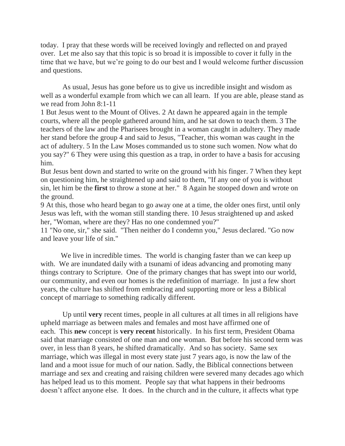today. I pray that these words will be received lovingly and reflected on and prayed over. Let me also say that this topic is so broad it is impossible to cover it fully in the time that we have, but we're going to do our best and I would welcome further discussion and questions.

 As usual, Jesus has gone before us to give us incredible insight and wisdom as well as a wonderful example from which we can all learn. If you are able, please stand as we read from John 8:1-11

1 But Jesus went to the Mount of Olives. 2 At dawn he appeared again in the temple courts, where all the people gathered around him, and he sat down to teach them. 3 The teachers of the law and the Pharisees brought in a woman caught in adultery. They made her stand before the group 4 and said to Jesus, "Teacher, this woman was caught in the act of adultery. 5 In the Law Moses commanded us to stone such women. Now what do you say?" 6 They were using this question as a trap, in order to have a basis for accusing him.

But Jesus bent down and started to write on the ground with his finger. 7 When they kept on questioning him, he straightened up and said to them, "If any one of you is without sin, let him be the **first** to throw a stone at her." 8 Again he stooped down and wrote on the ground.

9 At this, those who heard began to go away one at a time, the older ones first, until only Jesus was left, with the woman still standing there. 10 Jesus straightened up and asked her, "Woman, where are they? Has no one condemned you?"

11 "No one, sir," she said. "Then neither do I condemn you," Jesus declared. "Go now and leave your life of sin."

We live in incredible times. The world is changing faster than we can keep up with. We are inundated daily with a tsunami of ideas advancing and promoting many things contrary to Scripture. One of the primary changes that has swept into our world, our community, and even our homes is the redefinition of marriage. In just a few short years, the culture has shifted from embracing and supporting more or less a Biblical concept of marriage to something radically different.

 Up until **very** recent times, people in all cultures at all times in all religions have upheld marriage as between males and females and most have affirmed one of each. This **new** concept is **very recent** historically. In his first term, President Obama said that marriage consisted of one man and one woman. But before his second term was over, in less than 8 years, he shifted dramatically. And so has society. Same sex marriage, which was illegal in most every state just 7 years ago, is now the law of the land and a moot issue for much of our nation. Sadly, the Biblical connections between marriage and sex and creating and raising children were severed many decades ago which has helped lead us to this moment. People say that what happens in their bedrooms doesn't affect anyone else. It does. In the church and in the culture, it affects what type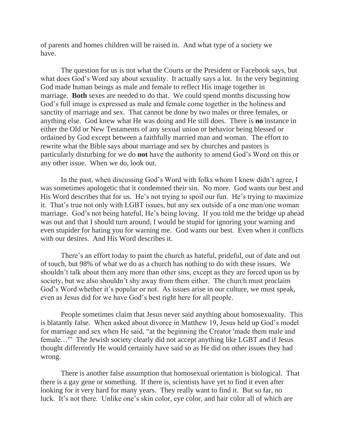of parents and homes children will be raised in. And what type of a society we have.

The question for us is not what the Courts or the President or Facebook says, but what does God's Word say about sexuality. It actually says a lot. In the very beginning God made human beings as male and female to reflect His image together in marriage. **Both** sexes are needed to do that. We could spend months discussing how God's full image is expressed as male and female come together in the holiness and sanctity of marriage and sex. That cannot be done by two males or three females, or anything else. God knew what He was doing and He still does. There is **no** instance in either the Old or New Testaments of any sexual union or behavior being blessed or ordained by God except between a faithfully married man and woman. The effort to rewrite what the Bible says about marriage and sex by churches and pastors is particularly disturbing for we do **not** have the authority to amend God's Word on this or any other issue. When we do, look out.

In the past, when discussing God's Word with folks whom I knew didn't agree, I was sometimes apologetic that it condemned their sin. No more. God wants our best and His Word describes that for us. He's not trying to spoil our fun. He's trying to maximize it. That's true not only with LGBT issues, but any sex outside of a one man/one woman marriage. God's not being hateful, He's being loving. If you told me the bridge up ahead was out and that I should turn around, I would be stupid for ignoring your warning and even stupider for hating you for warning me. God wants our best. Even when it conflicts with our desires. And His Word describes it.

There's an effort today to paint the church as hateful, prideful, out of date and out of touch, but 98% of what we do as a church has nothing to do with these issues. We shouldn't talk about them any more than other sins, except as they are forced upon us by society, but we also shouldn't shy away from them either. The church must proclaim God's Word whether it's popular or not. As issues arise in our culture, we must speak, even as Jesus did for we have God's best right here for all people.

People sometimes claim that Jesus never said anything about homosexuality. This is blatantly false. When asked about divorce in Matthew 19, Jesus held up God's model for marriage and sex when He said, "at the beginning the Creator 'made them male and female..." The Jewish society clearly did not accept anything like LGBT and if Jesus thought differently He would certainly have said so as He did on other issues they had wrong.

There is another false assumption that homosexual orientation is biological. That there is a gay gene or something. If there is, scientists have yet to find it even after looking for it very hard for many years. They really want to find it. But so far, no luck. It's not there. Unlike one's skin color, eye color, and hair color all of which are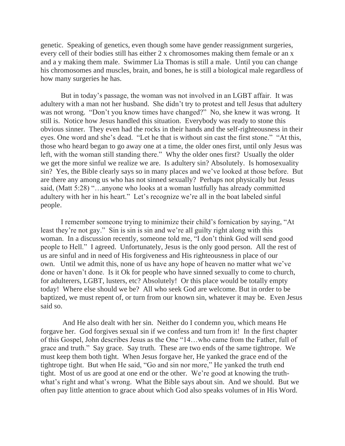genetic. Speaking of genetics, even though some have gender reassignment surgeries, every cell of their bodies still has either 2 x chromosomes making them female or an x and a y making them male. Swimmer Lia Thomas is still a male. Until you can change his chromosomes and muscles, brain, and bones, he is still a biological male regardless of how many surgeries he has.

But in today's passage, the woman was not involved in an LGBT affair. It was adultery with a man not her husband. She didn't try to protest and tell Jesus that adultery was not wrong. "Don't you know times have changed?" No, she knew it was wrong. It still is. Notice how Jesus handled this situation. Everybody was ready to stone this obvious sinner. They even had the rocks in their hands and the self-righteousness in their eyes. One word and she's dead. "Let he that is without sin cast the first stone." "At this, those who heard began to go away one at a time, the older ones first, until only Jesus was left, with the woman still standing there." Why the older ones first? Usually the older we get the more sinful we realize we are. Is adultery sin? Absolutely. Is homosexuality sin? Yes, the Bible clearly says so in many places and we've looked at those before. But are there any among us who has not sinned sexually? Perhaps not physically but Jesus said, (Matt 5:28) "…anyone who looks at a woman lustfully has already committed adultery with her in his heart." Let's recognize we're all in the boat labeled sinful people.

I remember someone trying to minimize their child's fornication by saying, "At least they're not gay." Sin is sin is sin and we're all guilty right along with this woman. In a discussion recently, someone told me, "I don't think God will send good people to Hell." I agreed. Unfortunately, Jesus is the only good person. All the rest of us are sinful and in need of His forgiveness and His righteousness in place of our own. Until we admit this, none of us have any hope of heaven no matter what we've done or haven't done. Is it Ok for people who have sinned sexually to come to church, for adulterers, LGBT, lusters, etc? Absolutely! Or this place would be totally empty today! Where else should we be? All who seek God are welcome. But in order to be baptized, we must repent of, or turn from our known sin, whatever it may be. Even Jesus said so.

 And He also dealt with her sin. Neither do I condemn you, which means He forgave her. God forgives sexual sin if we confess and turn from it! In the first chapter of this Gospel, John describes Jesus as the One "14…who came from the Father, full of grace and truth." Say grace. Say truth. These are two ends of the same tightrope. We must keep them both tight. When Jesus forgave her, He yanked the grace end of the tightrope tight. But when He said, "Go and sin nor more," He yanked the truth end tight. Most of us are good at one end or the other. We're good at knowing the truthwhat's right and what's wrong. What the Bible says about sin. And we should. But we often pay little attention to grace about which God also speaks volumes of in His Word.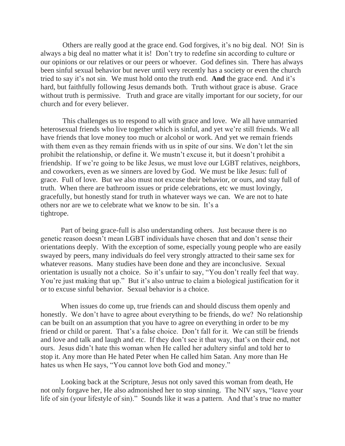Others are really good at the grace end. God forgives, it's no big deal. NO! Sin is always a big deal no matter what it is! Don't try to redefine sin according to culture or our opinions or our relatives or our peers or whoever. God defines sin. There has always been sinful sexual behavior but never until very recently has a society or even the church tried to say it's not sin. We must hold onto the truth end. **And** the grace end. And it's hard, but faithfully following Jesus demands both. Truth without grace is abuse. Grace without truth is permissive. Truth and grace are vitally important for our society, for our church and for every believer.

 This challenges us to respond to all with grace and love. We all have unmarried heterosexual friends who live together which is sinful, and yet we're still friends. We all have friends that love money too much or alcohol or work. And yet we remain friends with them even as they remain friends with us in spite of our sins. We don't let the sin prohibit the relationship, or define it. We mustn't excuse it, but it doesn't prohibit a friendship. If we're going to be like Jesus, we must love our LGBT relatives, neighbors, and coworkers, even as we sinners are loved by God. We must be like Jesus: full of grace. Full of love. But we also must not excuse their behavior, or ours, and stay full of truth. When there are bathroom issues or pride celebrations, etc we must lovingly, gracefully, but honestly stand for truth in whatever ways we can. We are not to hate others nor are we to celebrate what we know to be sin. It's a tightrope.

Part of being grace-full is also understanding others. Just because there is no genetic reason doesn't mean LGBT individuals have chosen that and don't sense their orientations deeply. With the exception of some, especially young people who are easily swayed by peers, many individuals do feel very strongly attracted to their same sex for whatever reasons. Many studies have been done and they are inconclusive. Sexual orientation is usually not a choice. So it's unfair to say, "You don't really feel that way. You're just making that up." But it's also untrue to claim a biological justification for it or to excuse sinful behavior. Sexual behavior is a choice.

When issues do come up, true friends can and should discuss them openly and honestly. We don't have to agree about everything to be friends, do we? No relationship can be built on an assumption that you have to agree on everything in order to be my friend or child or parent. That's a false choice. Don't fall for it. We can still be friends and love and talk and laugh and etc. If they don't see it that way, that's on their end, not ours. Jesus didn't hate this woman when He called her adultery sinful and told her to stop it. Any more than He hated Peter when He called him Satan. Any more than He hates us when He says, "You cannot love both God and money."

Looking back at the Scripture, Jesus not only saved this woman from death, He not only forgave her, He also admonished her to stop sinning. The NIV says, "leave your life of sin (your lifestyle of sin)." Sounds like it was a pattern. And that's true no matter